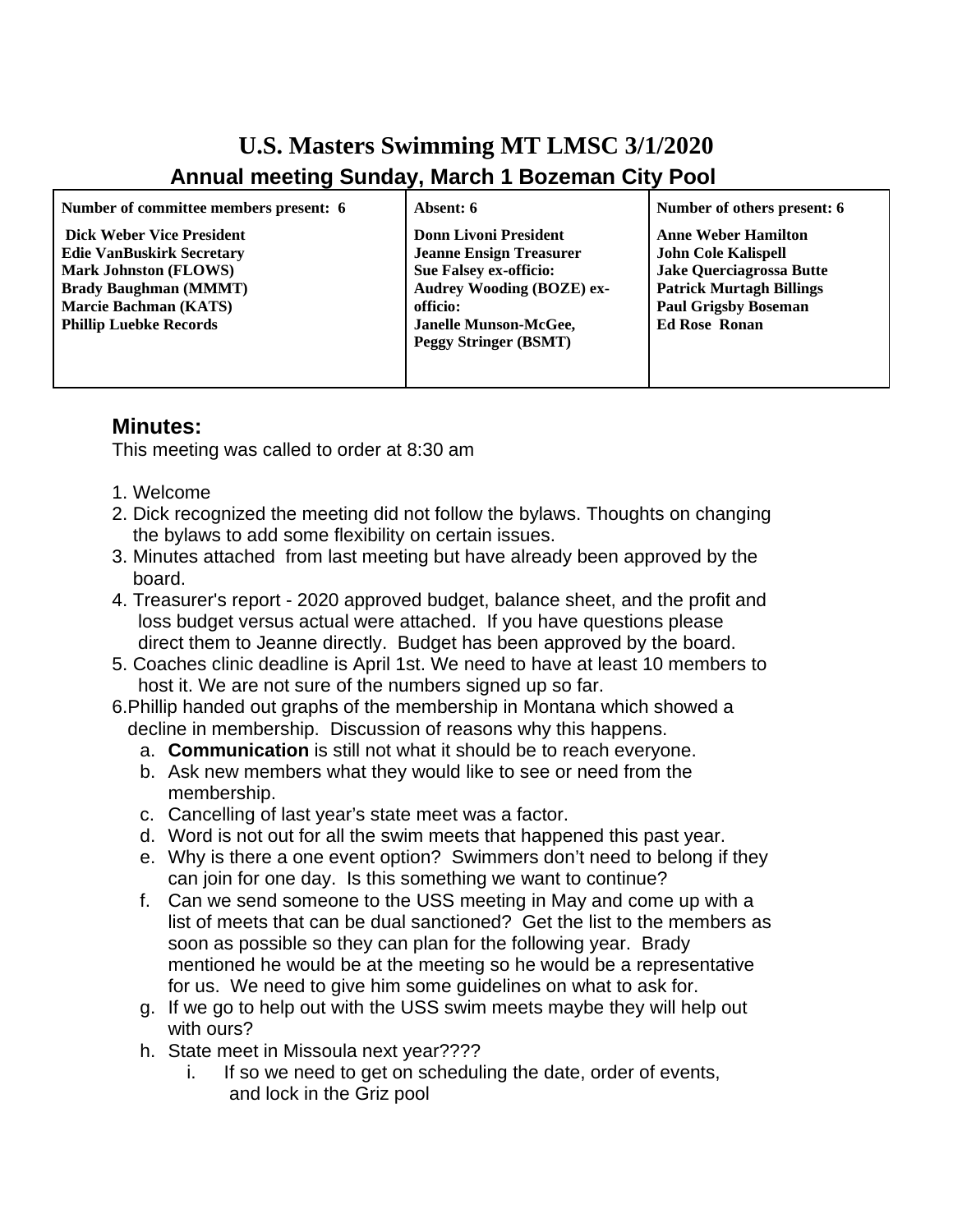## **U.S. Masters Swimming MT LMSC 3/1/2020 Annual meeting Sunday, March 1 Bozeman City Pool**

| Number of committee members present: 6                                                                                                                                                                | Absent: 6                                                                                                                                                                                                       | Number of others present: 6                                                                                                                                                           |
|-------------------------------------------------------------------------------------------------------------------------------------------------------------------------------------------------------|-----------------------------------------------------------------------------------------------------------------------------------------------------------------------------------------------------------------|---------------------------------------------------------------------------------------------------------------------------------------------------------------------------------------|
| <b>Dick Weber Vice President</b><br><b>Edie VanBuskirk Secretary</b><br><b>Mark Johnston (FLOWS)</b><br><b>Brady Baughman (MMMT)</b><br><b>Marcie Bachman (KATS)</b><br><b>Phillip Luebke Records</b> | <b>Donn Livoni President</b><br><b>Jeanne Ensign Treasurer</b><br><b>Sue Falsey ex-officio:</b><br><b>Audrey Wooding (BOZE) ex-</b><br>officio:<br><b>Janelle Munson-McGee,</b><br><b>Peggy Stringer (BSMT)</b> | <b>Anne Weber Hamilton</b><br><b>John Cole Kalispell</b><br><b>Jake Querciagrossa Butte</b><br><b>Patrick Murtagh Billings</b><br><b>Paul Grigsby Boseman</b><br><b>Ed Rose Ronan</b> |

## **Minutes:**

This meeting was called to order at 8:30 am

- 1. Welcome
- 2. Dick recognized the meeting did not follow the bylaws. Thoughts on changing the bylaws to add some flexibility on certain issues.
- 3. Minutes attached from last meeting but have already been approved by the board.
- 4. Treasurer's report 2020 approved budget, balance sheet, and the profit and loss budget versus actual were attached. If you have questions please direct them to Jeanne directly. Budget has been approved by the board.
- 5. Coaches clinic deadline is April 1st. We need to have at least 10 members to host it. We are not sure of the numbers signed up so far.
- 6.Phillip handed out graphs of the membership in Montana which showed a decline in membership. Discussion of reasons why this happens.
	- a. **Communication** is still not what it should be to reach everyone.
	- b. Ask new members what they would like to see or need from the membership.
	- c. Cancelling of last year's state meet was a factor.
	- d. Word is not out for all the swim meets that happened this past year.
	- e. Why is there a one event option? Swimmers don't need to belong if they can ioin for one day. Is this something we want to continue?
	- f. Can we send someone to the USS meeting in May and come up with a list of meets that can be dual sanctioned? Get the list to the members as soon as possible so they can plan for the following year. Brady mentioned he would be at the meeting so he would be a representative for us. We need to give him some guidelines on what to ask for.
	- g. If we go to help out with the USS swim meets maybe they will help out with ours?
	- h. State meet in Missoula next year????
		- i. If so we need to get on scheduling the date, order of events, and lock in the Griz pool